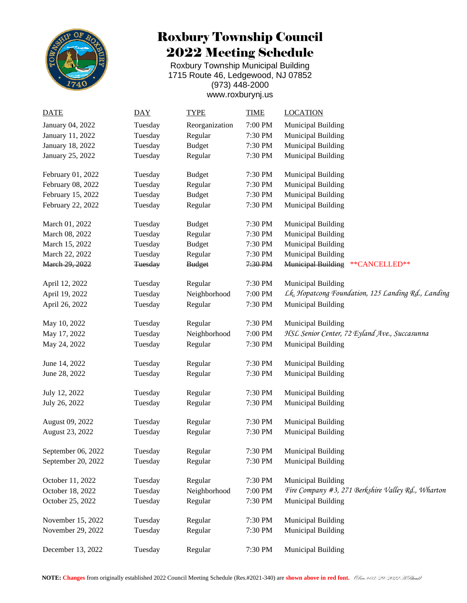

## Roxbury Township Council 2022 Meeting Schedule

Roxbury Township Municipal Building 1715 Route 46, Ledgewood, NJ 07852 (973) 448-2000 [www.roxburynj.us](http://www.roxburynj.us/)

| <b>DATE</b>        | <b>DAY</b>     | <b>TYPE</b>    | <b>TIME</b>          | <b>LOCATION</b>                                    |
|--------------------|----------------|----------------|----------------------|----------------------------------------------------|
| January 04, 2022   | Tuesday        | Reorganization | $7:00\;{\rm PM}$     | <b>Municipal Building</b>                          |
| January 11, 2022   | Tuesday        | Regular        | 7:30 PM              | Municipal Building                                 |
| January 18, 2022   | Tuesday        | <b>Budget</b>  | 7:30 PM              | Municipal Building                                 |
| January 25, 2022   | Tuesday        | Regular        | 7:30 PM              | Municipal Building                                 |
|                    |                |                |                      |                                                    |
| February 01, 2022  | Tuesday        | <b>Budget</b>  | 7:30 PM              | Municipal Building                                 |
| February 08, 2022  | Tuesday        | Regular        | 7:30 PM              | Municipal Building                                 |
| February 15, 2022  | Tuesday        | <b>Budget</b>  | 7:30 PM              | Municipal Building                                 |
| February 22, 2022  | Tuesday        | Regular        | 7:30 PM              | <b>Municipal Building</b>                          |
|                    |                |                |                      |                                                    |
| March 01, 2022     | Tuesday        | <b>Budget</b>  | 7:30 PM              | Municipal Building                                 |
| March 08, 2022     | Tuesday        | Regular        | 7:30 PM              | <b>Municipal Building</b>                          |
| March 15, 2022     | Tuesday        | <b>Budget</b>  | 7:30 PM              | Municipal Building                                 |
| March 22, 2022     | Tuesday        | Regular        | 7:30 PM              | Municipal Building                                 |
| March 29, 2022     | <b>Tuesday</b> | <b>Budget</b>  | 7:30 P M             | Municipal Building ** CANCELLED**                  |
| April 12, 2022     | Tuesday        | Regular        | 7:30 PM              | Municipal Building                                 |
| April 19, 2022     | Tuesday        | Neighborhood   | 7:00 PM              | Lk. Hopatcong Foundation, 125 Landing Rd., Landing |
|                    |                |                |                      |                                                    |
| April 26, 2022     | Tuesday        | Regular        | 7:30 PM              | <b>Municipal Building</b>                          |
| May 10, 2022       | Tuesday        | Regular        | 7:30 PM              | Municipal Building                                 |
| May 17, 2022       | Tuesday        | Neighborhood   | 7:00 PM              | HSL Senior Center, 72 Eyland Ave., Succasunna      |
| May 24, 2022       | Tuesday        | Regular        | 7:30 PM              | Municipal Building                                 |
| June 14, 2022      | Tuesday        | Regular        | 7:30 PM              | Municipal Building                                 |
| June 28, 2022      | Tuesday        | Regular        | 7:30 PM              | <b>Municipal Building</b>                          |
|                    |                |                |                      |                                                    |
| July 12, 2022      | Tuesday        | Regular        | 7:30 PM              | Municipal Building                                 |
| July 26, 2022      | Tuesday        | Regular        | 7:30 PM              | <b>Municipal Building</b>                          |
|                    |                |                |                      |                                                    |
| August 09, 2022    | Tuesday        | Regular        | 7:30 PM              | Municipal Building                                 |
| August 23, 2022    | Tuesday        | Regular        | 7:30 PM              | Municipal Building                                 |
| September 06, 2022 | Tuesday        | Regular        | 7:30 PM              | <b>Municipal Building</b>                          |
| September 20, 2022 | Tuesday        | Regular        | $7:30\; \mathrm{PM}$ | Municipal Building                                 |
|                    |                |                |                      |                                                    |
| October 11, 2022   | Tuesday        | Regular        | 7:30 PM              | <b>Municipal Building</b>                          |
| October 18, 2022   | Tuesday        | Neighborhood   | 7:00 PM              | Fire Company #3, 271 Berkshire Valley Rd., Wharton |
| October 25, 2022   | Tuesday        | Regular        | 7:30 PM              | <b>Municipal Building</b>                          |
| November 15, 2022  | Tuesday        | Regular        | 7:30 PM              | Municipal Building                                 |
| November 29, 2022  | Tuesday        | Regular        | 7:30 PM              | Municipal Building                                 |
|                    |                |                |                      |                                                    |
| December 13, 2022  | Tuesday        | Regular        | 7:30 PM              | Municipal Building                                 |